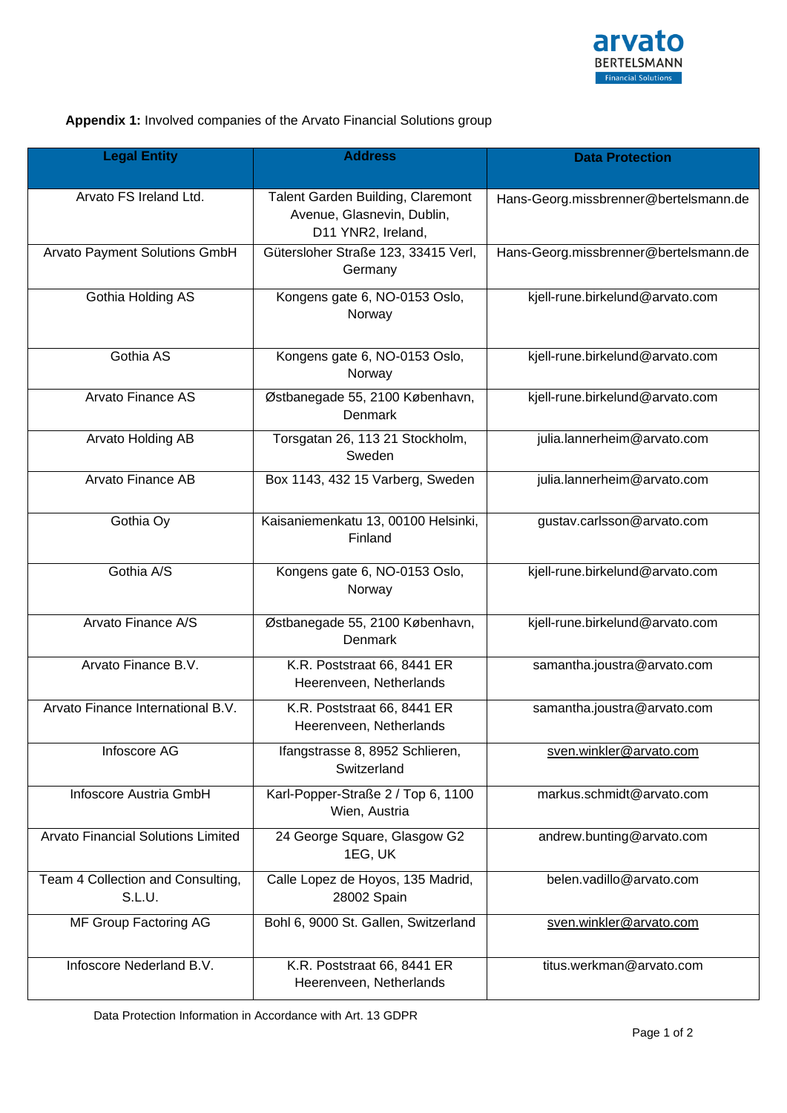

## **Appendix 1:** Involved companies of the Arvato Financial Solutions group

| <b>Legal Entity</b>                         | <b>Address</b>                                                                        | <b>Data Protection</b>                |
|---------------------------------------------|---------------------------------------------------------------------------------------|---------------------------------------|
| Arvato FS Ireland Ltd.                      | Talent Garden Building, Claremont<br>Avenue, Glasnevin, Dublin,<br>D11 YNR2, Ireland, | Hans-Georg.missbrenner@bertelsmann.de |
| Arvato Payment Solutions GmbH               | Gütersloher Straße 123, 33415 Verl,<br>Germany                                        | Hans-Georg.missbrenner@bertelsmann.de |
| Gothia Holding AS                           | Kongens gate 6, NO-0153 Oslo,<br>Norway                                               | kjell-rune.birkelund@arvato.com       |
| Gothia AS                                   | Kongens gate 6, NO-0153 Oslo,<br>Norway                                               | kjell-rune.birkelund@arvato.com       |
| Arvato Finance AS                           | Østbanegade 55, 2100 København,<br>Denmark                                            | kjell-rune.birkelund@arvato.com       |
| Arvato Holding AB                           | Torsgatan 26, 113 21 Stockholm,<br>Sweden                                             | julia.lannerheim@arvato.com           |
| Arvato Finance AB                           | Box 1143, 432 15 Varberg, Sweden                                                      | julia.lannerheim@arvato.com           |
| Gothia Oy                                   | Kaisaniemenkatu 13, 00100 Helsinki,<br>Finland                                        | gustav.carlsson@arvato.com            |
| Gothia A/S                                  | Kongens gate 6, NO-0153 Oslo,<br>Norway                                               | kjell-rune.birkelund@arvato.com       |
| Arvato Finance A/S                          | Østbanegade 55, 2100 København,<br>Denmark                                            | kjell-rune.birkelund@arvato.com       |
| Arvato Finance B.V.                         | K.R. Poststraat 66, 8441 ER<br>Heerenveen, Netherlands                                | samantha.joustra@arvato.com           |
| Arvato Finance International B.V.           | K.R. Poststraat 66, 8441 ER<br>Heerenveen, Netherlands                                | samantha.joustra@arvato.com           |
| Infoscore AG                                | Ifangstrasse 8, 8952 Schlieren,<br>Switzerland                                        | sven.winkler@arvato.com               |
| Infoscore Austria GmbH                      | Karl-Popper-Straße 2 / Top 6, 1100<br>Wien, Austria                                   | markus.schmidt@arvato.com             |
| <b>Arvato Financial Solutions Limited</b>   | 24 George Square, Glasgow G2<br>1EG, UK                                               | andrew.bunting@arvato.com             |
| Team 4 Collection and Consulting,<br>S.L.U. | Calle Lopez de Hoyos, 135 Madrid,<br>28002 Spain                                      | belen.vadillo@arvato.com              |
| MF Group Factoring AG                       | Bohl 6, 9000 St. Gallen, Switzerland                                                  | sven.winkler@arvato.com               |
| Infoscore Nederland B.V.                    | K.R. Poststraat 66, 8441 ER<br>Heerenveen, Netherlands                                | titus.werkman@arvato.com              |